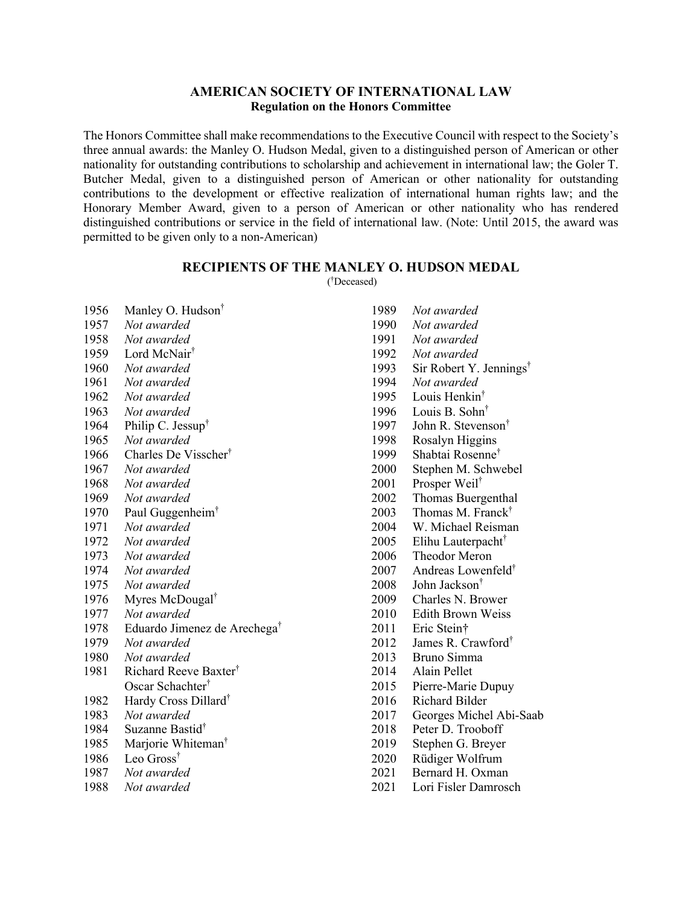## **AMERICAN SOCIETY OF INTERNATIONAL LAW Regulation on the Honors Committee**

The Honors Committee shall make recommendations to the Executive Council with respect to the Society's three annual awards: the Manley O. Hudson Medal, given to a distinguished person of American or other nationality for outstanding contributions to scholarship and achievement in international law; the Goler T. Butcher Medal, given to a distinguished person of American or other nationality for outstanding contributions to the development or effective realization of international human rights law; and the Honorary Member Award, given to a person of American or other nationality who has rendered distinguished contributions or service in the field of international law. (Note: Until 2015, the award was permitted to be given only to a non-American)

## **RECIPIENTS OF THE MANLEY O. HUDSON MEDAL**  ( † Deceased)

| 1956 | Manley O. Hudson <sup>†</sup>            |
|------|------------------------------------------|
| 1957 | Not awarded                              |
| 1958 | Not awarded                              |
| 1959 | Lord McNair <sup>†</sup>                 |
| 1960 | Not awarded                              |
| 1961 | Not awarded                              |
| 1962 | Not awarded                              |
| 1963 | Not awarded                              |
| 1964 | Philip C. Jessup <sup>†</sup>            |
| 1965 | Not awarded                              |
| 1966 | Charles De Visscher <sup>†</sup>         |
| 1967 | Not awarded                              |
| 1968 | Not awarded                              |
| 1969 | Not awarded                              |
| 1970 | Paul Guggenheim <sup>†</sup>             |
| 1971 | Not awarded                              |
| 1972 | Not awarded                              |
| 1973 | Not awarded                              |
| 1974 | Not awarded                              |
| 1975 | Not awarded                              |
| 1976 | Myres McDougal <sup>†</sup>              |
| 1977 | Not awarded                              |
| 1978 | Eduardo Jimenez de Arechega <sup>†</sup> |
| 1979 | Not awarded                              |
| 1980 | Not awarded                              |
| 1981 | Richard Reeve Baxter <sup>†</sup>        |
|      | Oscar Schachter <sup>†</sup>             |
| 1982 | Hardy Cross Dillard <sup>†</sup>         |
| 1983 | Not awarded                              |
| 1984 | Suzanne Bastid <sup>†</sup>              |
| 1985 | Marjorie Whiteman <sup>†</sup>           |
| 1986 | Leo Gross <sup>†</sup>                   |
| 1987 | Not awarded                              |
| 1988 | Not awarded                              |

- *Not awarded Not awarded Not awarded Not awarded* Sir Robert Y. Jennings† *Not awarded* Louis Henkin† Louis B. Sohn† John R. Stevenson† Rosalyn Higgins Shabtai Rosenne† Stephen M. Schwebel Prosper Weil† Thomas Buergenthal Thomas M. Franck† W. Michael Reisman Elihu Lauterpacht† Theodor Meron Andreas Lowenfeld† John Jackson† Charles N. Brower 2010 Edith Brown Weiss Eric Stein† 2012 James R. Crawford† Bruno Simma Alain Pellet Pierre-Marie Dupuy 2016 Richard Bilder Georges Michel Abi-Saab Peter D. Trooboff Stephen G. Breyer Rüdiger Wolfrum 2021 Bernard H. Oxman
- Lori Fisler Damrosch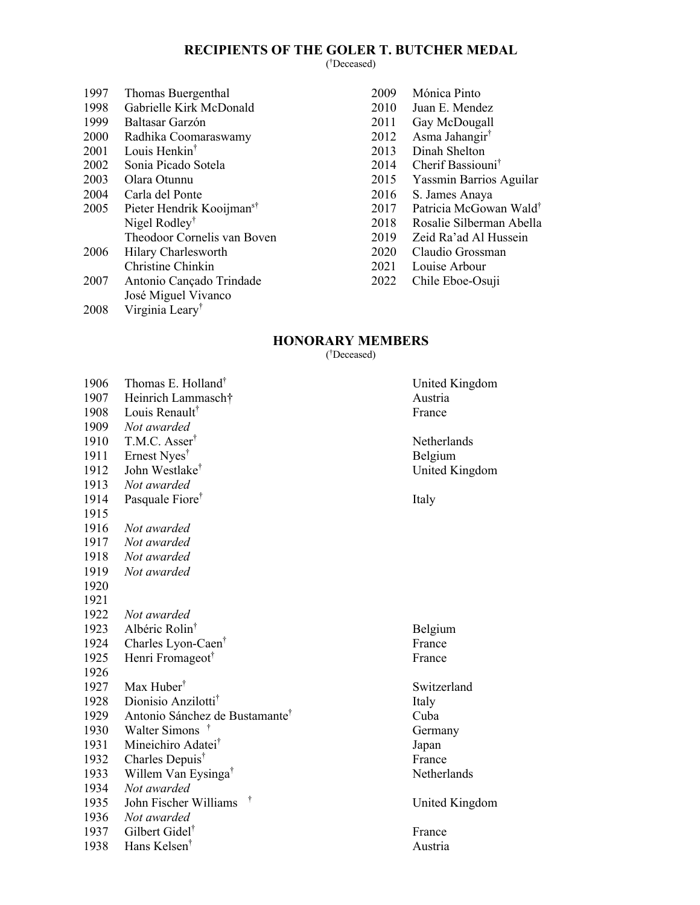## **RECIPIENTS OF THE GOLER T. BUTCHER MEDAL**

( † Deceased)

| Thomas Buergenthal                    |
|---------------------------------------|
| Gabrielle Kirk McDonald               |
| Baltasar Garzón                       |
| Radhika Coomaraswamy                  |
| Louis Henkin <sup>†</sup>             |
| Sonia Picado Sotela                   |
| Olara Otunnu                          |
| Carla del Ponte                       |
| Pieter Hendrik Kooijman <sup>s†</sup> |
| Nigel Rodley <sup>†</sup>             |
| Theodoor Cornelis van Boven           |
| Hilary Charlesworth                   |
| Christine Chinkin                     |
| Antonio Cançado Trindade              |
| José Miguel Vivanco                   |
|                                       |

2008 Virginia Leary†

- Mónica Pinto Juan E. Mendez Gay McDougall
- 
- 2012 Asma Jahangir<sup>†</sup><br>2013 Dinah Shelton Dinah Shelton
- Cherif Bassiouni†
- Yassmin Barrios Aguilar
- S. James Anaya
- Patricia McGowan Wald†
- Rosalie Silberman Abella
- 
- 2019 Zeid Ra'ad Al Hussein<br>2020 Claudio Grossman Claudio Grossman
- 
- 2021 Louise Arbour
- 2022 Chile Eboe-Osuji

## **HONORARY MEMBERS**

( † Deceased)

| 1906 | Thomas E. Holland <sup>†</sup>             | United  |
|------|--------------------------------------------|---------|
| 1907 | Heinrich Lammasch†                         | Austria |
| 1908 | Louis Renault <sup>†</sup>                 | France  |
| 1909 | Not awarded                                |         |
| 1910 | T.M.C. Asser <sup>†</sup>                  | Netherl |
| 1911 | Ernest Nyes <sup>†</sup>                   | Belgiur |
| 1912 | John Westlake <sup>†</sup>                 | United  |
| 1913 | Not awarded                                |         |
| 1914 | Pasquale Fiore <sup>†</sup>                | Italy   |
| 1915 |                                            |         |
| 1916 | Not awarded                                |         |
| 1917 | Not awarded                                |         |
| 1918 | Not awarded                                |         |
| 1919 | Not awarded                                |         |
| 1920 |                                            |         |
| 1921 |                                            |         |
| 1922 | Not awarded                                |         |
| 1923 | Albéric Rolin <sup>†</sup>                 | Belgiur |
| 1924 | Charles Lyon-Caen <sup>†</sup>             | France  |
| 1925 | Henri Fromageot <sup>†</sup>               | France  |
| 1926 |                                            |         |
| 1927 | Max Huber <sup>†</sup>                     | Switzer |
| 1928 | Dionisio Anzilotti <sup>†</sup>            | Italy   |
| 1929 | Antonio Sánchez de Bustamante <sup>†</sup> | Cuba    |
| 1930 | Walter Simons <sup>†</sup>                 | German  |
| 1931 | Mineichiro Adatei <sup>†</sup>             | Japan   |
| 1932 | Charles Depuis <sup>†</sup>                | France  |
| 1933 | Willem Van Eysinga <sup>†</sup>            | Netherl |
| 1934 | Not awarded                                |         |
| 1935 | $\dagger$<br>John Fischer Williams         | United  |
| 1936 | Not awarded                                |         |
| 1937 | Gilbert Gidel <sup>®</sup>                 | France  |
| 1938 | Hans Kelsen <sup>†</sup>                   | Austria |
|      |                                            |         |

United Kingdom<br>Austria Netherlands Belgium United Kingdom

Belgium

Switzerland

Germany

Netherlands

United Kingdom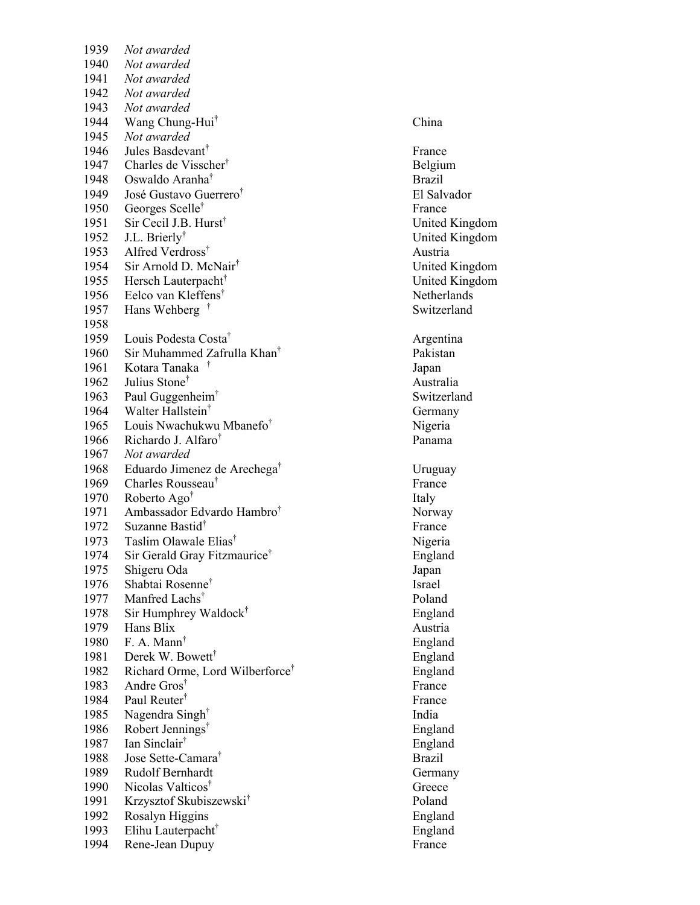| 1939 | Not awarded                                 |               |
|------|---------------------------------------------|---------------|
| 1940 | Not awarded                                 |               |
| 1941 | Not awarded                                 |               |
| 1942 | Not awarded                                 |               |
| 1943 | Not awarded                                 |               |
| 1944 | Wang Chung-Hui <sup>T</sup>                 | China         |
| 1945 | Not awarded                                 |               |
| 1946 | Jules Basdevant <sup>†</sup>                | France        |
| 1947 | Charles de Visscher <sup>†</sup>            | Belgiu        |
| 1948 | Oswaldo Aranha <sup>†</sup>                 | Brazil        |
| 1949 | José Gustavo Guerrero <sup>†</sup>          | El Salv       |
| 1950 | Georges Scelle <sup>†</sup>                 | France        |
| 1951 | Sir Cecil J.B. Hurst <sup>†</sup>           | United        |
| 1952 | J.L. Brierly <sup>†</sup>                   | United        |
| 1953 | Alfred Verdross <sup>†</sup>                | Austria       |
| 1954 | Sir Arnold D. McNair <sup>†</sup>           | United        |
| 1955 | Hersch Lauterpacht <sup>™</sup>             | United        |
| 1956 | Eelco van Kleffens <sup>†</sup>             | Nether        |
| 1957 | Hans Wehberg <sup>†</sup>                   | Switze        |
| 1958 |                                             |               |
| 1959 | Louis Podesta Costa <sup>†</sup>            | Argent        |
| 1960 | Sir Muhammed Zafrulla Khan <sup>†</sup>     | Pakista       |
| 1961 | Kotara Tanaka <sup>†</sup>                  | Japan         |
| 1962 | Julius Stone <sup>†</sup>                   | Austra        |
| 1963 | Paul Guggenheim <sup>™</sup>                | Switze        |
| 1964 | Walter Hallstein <sup>†</sup>               | Germa         |
| 1965 | Louis Nwachukwu Mbanefo <sup>†</sup>        | Nigeria       |
| 1966 | Richardo J. Alfaro <sup>†</sup>             | Panam         |
| 1967 | Not awarded                                 |               |
| 1968 | Eduardo Jimenez de Arechega <sup>T</sup>    | Urugua        |
| 1969 | Charles Rousseau <sup>†</sup>               | France        |
| 1970 | Roberto Ago <sup>†</sup>                    | Italy         |
| 1971 | Ambassador Edvardo Hambro <sup>†</sup>      | Norwa         |
| 1972 | Suzanne Bastid <sup>†</sup>                 | France        |
| 1973 | Taslim Olawale Elias <sup>†</sup>           | Nigeria       |
| 1974 | Sir Gerald Gray Fitzmaurice <sup>†</sup>    | Englan        |
| 1975 | Shigeru Oda                                 | Japan         |
| 1976 | Shabtai Rosenne <sup>†</sup>                | Israel        |
| 1977 | Manfred Lachs <sup>†</sup>                  | Poland        |
| 1978 | Sir Humphrey Waldock <sup>†</sup>           | Englan        |
| 1979 | Hans Blix                                   | Austria       |
| 1980 | F. A. Mann <sup>†</sup>                     | Englan        |
| 1981 | Derek W. Bowett <sup>†</sup>                | Englan        |
| 1982 | Richard Orme, Lord Wilberforce <sup>†</sup> | Englan        |
| 1983 | Andre Gros <sup>†</sup>                     | France        |
| 1984 | Paul Reuter <sup>†</sup>                    | France        |
| 1985 | Nagendra Singh <sup>†</sup>                 | India         |
| 1986 | Robert Jennings <sup>†</sup>                | Englan        |
| 1987 | Ian Sinclair <sup>†</sup>                   | Englan        |
| 1988 | Jose Sette-Camara <sup>†</sup>              | <b>Brazil</b> |
| 1989 | Rudolf Bernhardt                            | Germa         |
| 1990 | Nicolas Valticos <sup>†</sup>               | Greece        |
| 1991 | Krzysztof Skubiszewski <sup>†</sup>         | Poland        |
| 1992 | Rosalyn Higgins                             | Englan        |
| 1993 | Elihu Lauterpacht <sup>™</sup>              | Englan        |
| 1994 | Rene-Jean Dupuy                             | France        |

† China † France **Belgium** † Brazil † El Salvador † France United Kingdom United Kingdom † Austria United Kingdom United Kingdom Netherlands Switzerland **Argentina** Pakistan † Japan † Australia Switzerland **Germany** Nigeria Panama † Uruguay † France † Norway † France Nigeria England † Israel † Poland England Austria England England England † France **France** † India England † England † Brazil Germany Greece † Poland England England<br>France